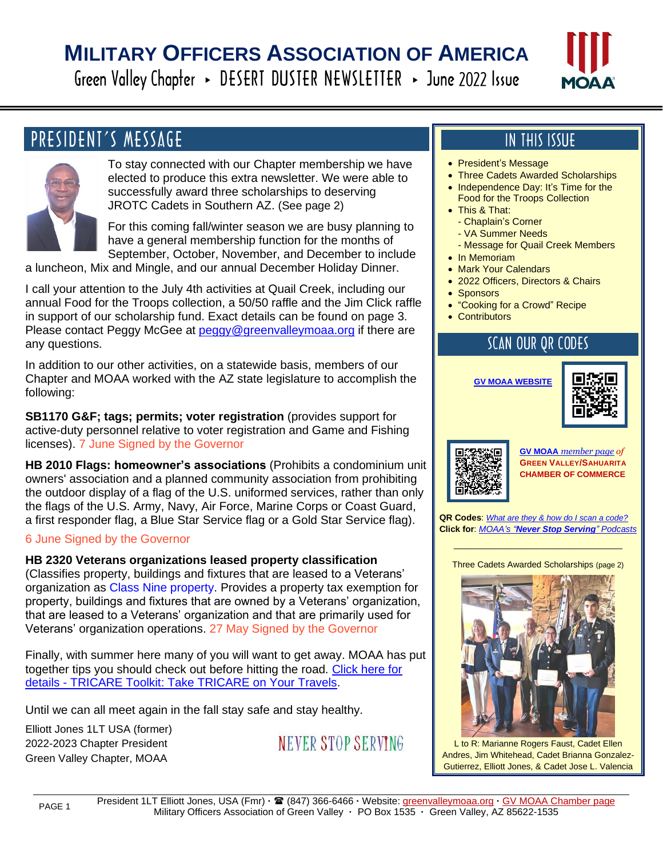# **MILITARY OFFICERS ASSOCIATION OF AMERICA**

Green Valley Chapter > DESERT DUSTER NEWSLETTER > June 2022 Issue



### PRESIDENT'S MESSAGE



l

To stay connected with our Chapter membership we have elected to produce this extra newsletter. We were able to successfully award three scholarships to deserving JROTC Cadets in Southern AZ. (See page 2)

For this coming fall/winter season we are busy planning to have a general membership function for the months of September, October, November, and December to include

a luncheon, Mix and Mingle, and our annual December Holiday Dinner.

I call your attention to the July 4th activities at Quail Creek, including our annual Food for the Troops collection, a 50/50 raffle and the Jim Click raffle in support of our scholarship fund. Exact details can be found on page 3. Please contact Peggy McGee at [peggy@greenvalleymoaa.org](mailto:peggy@greenvalleymoaa.org) if there are any questions.

In addition to our other activities, on a statewide basis, members of our Chapter and MOAA worked with the AZ state legislature to accomplish the following:

**SB1170 G&F; tags; permits; voter registration** (provides support for active-duty personnel relative to voter registration and Game and Fishing licenses). 7 June Signed by the Governor

**HB 2010 Flags: homeowner's associations** (Prohibits a condominium unit owners' association and a planned community association from prohibiting the outdoor display of a flag of the U.S. uniformed services, rather than only the flags of the U.S. Army, Navy, Air Force, Marine Corps or Coast Guard, a first responder flag, a Blue Star Service flag or a Gold Star Service flag).

#### 6 June Signed by the Governor

**HB 2320 Veterans organizations leased property classification** (Classifies property, buildings and fixtures that are leased to a Veterans' organization as Class Nine property. Provides a property tax exemption for property, buildings and fixtures that are owned by a Veterans' organization, that are leased to a Veterans' organization and that are primarily used for Veterans' organization operations. 27 May Signed by the Governor

Finally, with summer here many of you will want to get away. MOAA has put together tips you should check out before hitting the road. [Click here for](https://www.moaa.org/content/topic-and-landing-pages/moaas-tricare-toolkit/tricare-toolkit-take-tricare-on-your-travels/?utm_source=newsletter&utm_medium=email&utm_campaign=TMNsend&utm_content=NC+AFHRM+1+ERet+L+NC)  [details -](https://www.moaa.org/content/topic-and-landing-pages/moaas-tricare-toolkit/tricare-toolkit-take-tricare-on-your-travels/?utm_source=newsletter&utm_medium=email&utm_campaign=TMNsend&utm_content=NC+AFHRM+1+ERet+L+NC) [TRICARE Toolkit: Take TRICARE on Your Travels.](https://www.moaa.org/content/topic-and-landing-pages/moaas-tricare-toolkit/tricare-toolkit-take-tricare-on-your-travels/?utm_source=newsletter&utm_medium=email&utm_campaign=TMNsend&utm_content=NC+AFHRM+1+ERet+L+NC)

Until we can all meet again in the fall stay safe and stay healthy.

Elliott Jones 1LT USA (former) 2022-2023 Chapter President Green Valley Chapter, MOAA

NEVER STOP SERVING

#### **IN THIS ISSUE**

- President's Message
- Three Cadets Awarded Scholarships
- Independence Day: It's Time for the Food for the Troops Collection
- This & That:
	- Chaplain's Corner
	- VA Summer Needs
	- Message for Quail Creek Members
- In Memoriam
- Mark Your Calendars
- 2022 Officers, Directors & Chairs
- Sponsors
- "Cooking for a Crowd" Recipe
- Contributors

#### **SCAN OUR QR CODES**

**[GV MOAA](https://greenvalleymoaa.org/) WEBSITE**





**[GV MOAA](https://docu.team/greet.php?store=62013)** *membe[r page](https://docu.team/greet.php?store=62013) of* **GREEN VALLEY/SAHUARITA CHAMBER OF COMMERCE**

**QR Codes**: *[What are they & how do I scan a code?](https://greenvalleymoaa.files.wordpress.com/2022/04/qr-codes_what-are-they-and-how-to-scan-a-code.pdf)* **Click for**: *MOAA's "[Never Stop Serving](https://www.moaa.org/content/topic-and-landing-pages/moaas-never-stop-serving-podcast/#:~:text=MOAA)" Podcasts*

 $\mathcal{L}_\text{max}$  and  $\mathcal{L}_\text{max}$  and  $\mathcal{L}_\text{max}$  and  $\mathcal{L}_\text{max}$ Three Cadets Awarded Scholarships (page 2)



L to R: Marianne Rogers Faust, Cadet Ellen Andres, Jim Whitehead, Cadet Brianna Gonzalez-Gutierrez, Elliott Jones, & Cadet Jose L. Valencia

PAGE 1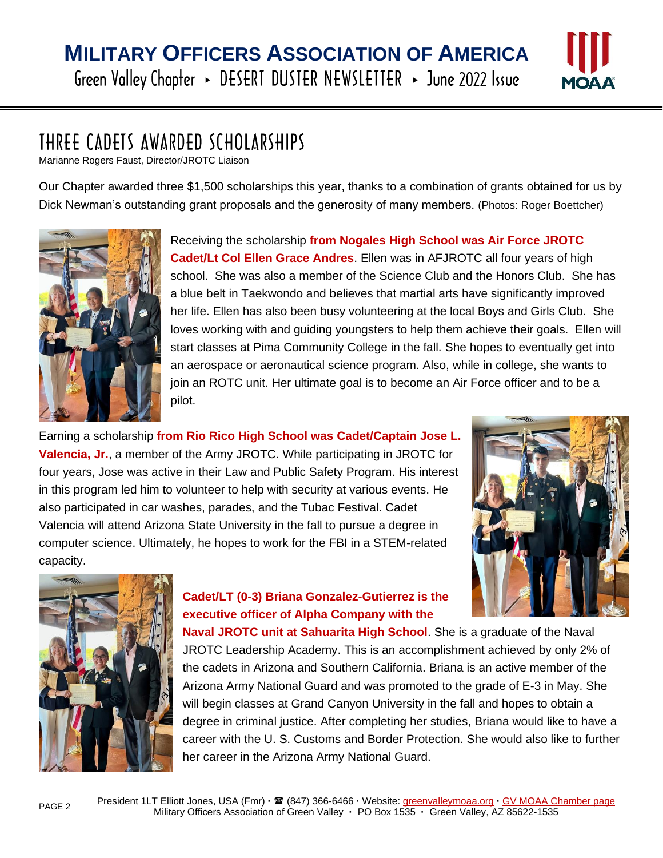

### THREE CADETS AWARDED SCHOLARSHIPS

Marianne Rogers Faust, Director/JROTC Liaison

Our Chapter awarded three \$1,500 scholarships this year, thanks to a combination of grants obtained for us by Dick Newman's outstanding grant proposals and the generosity of many members. (Photos: Roger Boettcher)



l

Receiving the scholarship **from Nogales High School was Air Force JROTC Cadet/Lt Col Ellen Grace Andres**. Ellen was in AFJROTC all four years of high school. She was also a member of the Science Club and the Honors Club. She has a blue belt in Taekwondo and believes that martial arts have significantly improved her life. Ellen has also been busy volunteering at the local Boys and Girls Club. She loves working with and guiding youngsters to help them achieve their goals. Ellen will start classes at Pima Community College in the fall. She hopes to eventually get into an aerospace or aeronautical science program. Also, while in college, she wants to join an ROTC unit. Her ultimate goal is to become an Air Force officer and to be a pilot.

Earning a scholarship **from Rio Rico High School was Cadet/Captain Jose L. Valencia, Jr.**, a member of the Army JROTC. While participating in JROTC for four years, Jose was active in their Law and Public Safety Program. His interest in this program led him to volunteer to help with security at various events. He also participated in car washes, parades, and the Tubac Festival. Cadet Valencia will attend Arizona State University in the fall to pursue a degree in computer science. Ultimately, he hopes to work for the FBI in a STEM-related capacity.





PAGE 2

#### **Cadet/LT (0-3) Briana Gonzalez-Gutierrez is the executive officer of Alpha Company with the**

**Naval JROTC unit at Sahuarita High School**. She is a graduate of the Naval JROTC Leadership Academy. This is an accomplishment achieved by only 2% of the cadets in Arizona and Southern California. Briana is an active member of the Arizona Army National Guard and was promoted to the grade of E-3 in May. She will begin classes at Grand Canyon University in the fall and hopes to obtain a degree in criminal justice. After completing her studies, Briana would like to have a career with the U. S. Customs and Border Protection. She would also like to further her career in the Arizona Army National Guard.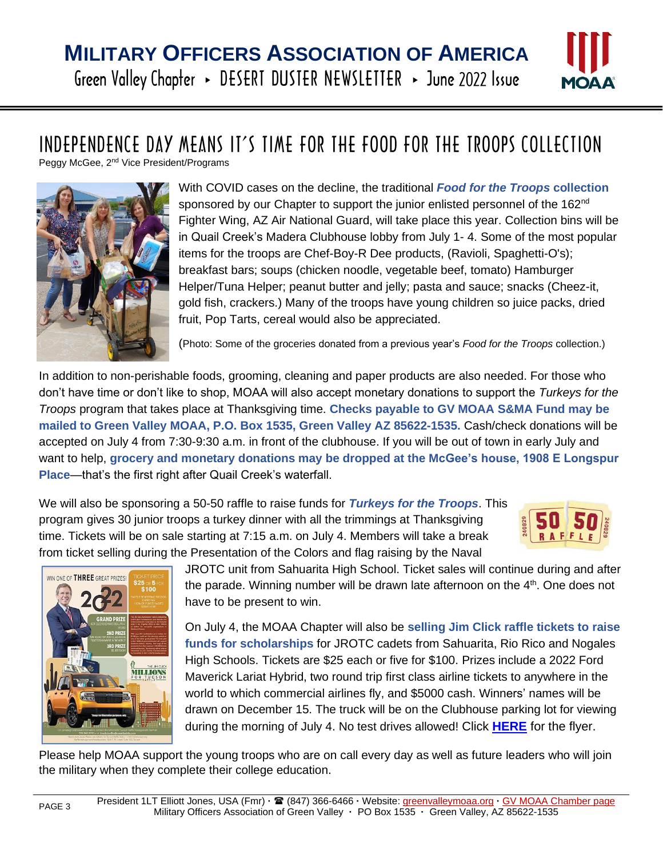

# INDEPENDENCE DAY MEANS IT'S TIME FOR THE FOOD FOR THE TROOPS COLLECTION

Peggy McGee, 2<sup>nd</sup> Vice President/Programs



l

With COVID cases on the decline, the traditional *Food for the Troops* **collection** sponsored by our Chapter to support the junior enlisted personnel of the 162<sup>nd</sup> Fighter Wing, AZ Air National Guard, will take place this year. Collection bins will be in Quail Creek's Madera Clubhouse lobby from July 1- 4. Some of the most popular items for the troops are Chef-Boy-R Dee products, (Ravioli, Spaghetti-O's); breakfast bars; soups (chicken noodle, vegetable beef, tomato) Hamburger Helper/Tuna Helper; peanut butter and jelly; pasta and sauce; snacks (Cheez-it, gold fish, crackers.) Many of the troops have young children so juice packs, dried fruit, Pop Tarts, cereal would also be appreciated.

(Photo: Some of the groceries donated from a previous year's *Food for the Troops* collection.)

In addition to non-perishable foods, grooming, cleaning and paper products are also needed. For those who don't have time or don't like to shop, MOAA will also accept monetary donations to support the *Turkeys for the Troops* program that takes place at Thanksgiving time. **Checks payable to GV MOAA S&MA Fund may be mailed to Green Valley MOAA, P.O. Box 1535, Green Valley AZ 85622-1535.** Cash/check donations will be accepted on July 4 from 7:30-9:30 a.m. in front of the clubhouse. If you will be out of town in early July and want to help, **grocery and monetary donations may be dropped at the McGee's house, 1908 E Longspur Place**—that's the first right after Quail Creek's waterfall.

We will also be sponsoring a 50-50 raffle to raise funds for *Turkeys for the Troops*. This program gives 30 junior troops a turkey dinner with all the trimmings at Thanksgiving time. Tickets will be on sale starting at 7:15 a.m. on July 4. Members will take a break from ticket selling during the Presentation of the Colors and flag raising by the Naval





JROTC unit from Sahuarita High School. Ticket sales will continue during and after the parade. Winning number will be drawn late afternoon on the 4<sup>th</sup>. One does not have to be present to win.

On July 4, the MOAA Chapter will also be **selling Jim Click raffle tickets to raise funds for scholarships** for JROTC cadets from Sahuarita, Rio Rico and Nogales High Schools. Tickets are \$25 each or five for \$100. Prizes include a 2022 Ford Maverick Lariat Hybrid, two round trip first class airline tickets to anywhere in the world to which commercial airlines fly, and \$5000 cash. Winners' names will be drawn on December 15. The truck will be on the Clubhouse parking lot for viewing during the morning of July 4. No test drives allowed! Click **[HERE](https://greenvalleymoaa.files.wordpress.com/2022/04/jclick-millions-raffle-flyer-2022.jpg)** for the flyer.

Please help MOAA support the young troops who are on call every day as well as future leaders who will join the military when they complete their college education.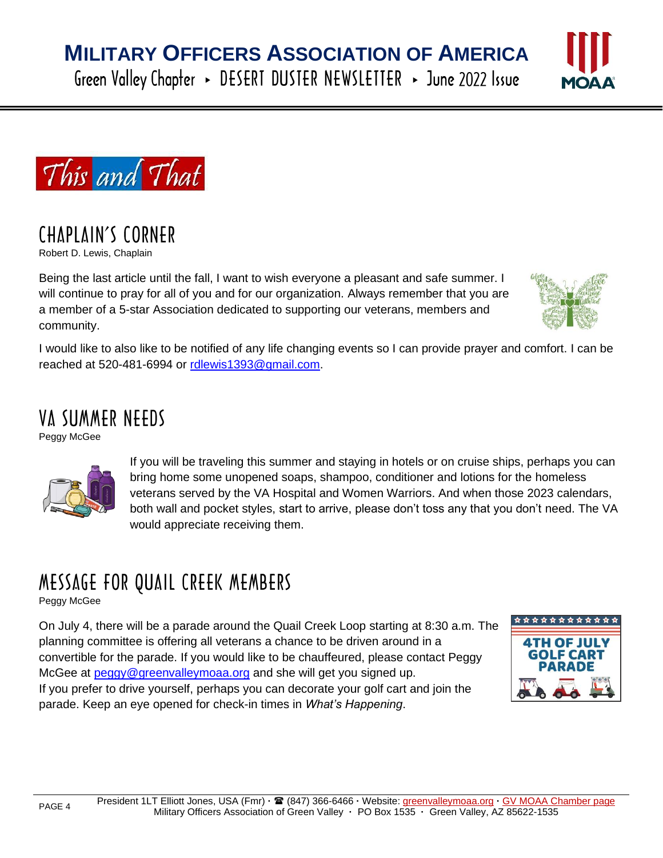Green Valley Chapter > DESERT DUSTER NEWSLETTER > June 2022 Issue





### CHAPLAIN'S CORNER

Robert D. Lewis, Chaplain

l

Being the last article until the fall, I want to wish everyone a pleasant and safe summer. I will continue to pray for all of you and for our organization. Always remember that you are a member of a 5-star Association dedicated to supporting our veterans, members and community.



I would like to also like to be notified of any life changing events so I can provide prayer and comfort. I can be reached at 520-481-6994 or [rdlewis1393@gmail.com.](mailto:rdlewis1393@gmail.com)

### VA SUMMER NEEDS

Peggy McGee



If you will be traveling this summer and staying in hotels or on cruise ships, perhaps you can bring home some unopened soaps, shampoo, conditioner and lotions for the homeless veterans served by the VA Hospital and Women Warriors. And when those 2023 calendars, both wall and pocket styles, start to arrive, please don't toss any that you don't need. The VA would appreciate receiving them.

## MESSAGE FOR QUAIL CREEK MEMBERS

Peggy McGee

On July 4, there will be a parade around the Quail Creek Loop starting at 8:30 a.m. The planning committee is offering all veterans a chance to be driven around in a convertible for the parade. If you would like to be chauffeured, please contact Peggy McGee at [peggy@greenvalleymoaa.org](mailto:peggy@greenvalleymoaa.org) and she will get you signed up. If you prefer to drive yourself, perhaps you can decorate your golf cart and join the parade. Keep an eye opened for check-in times in *What's Happening*.

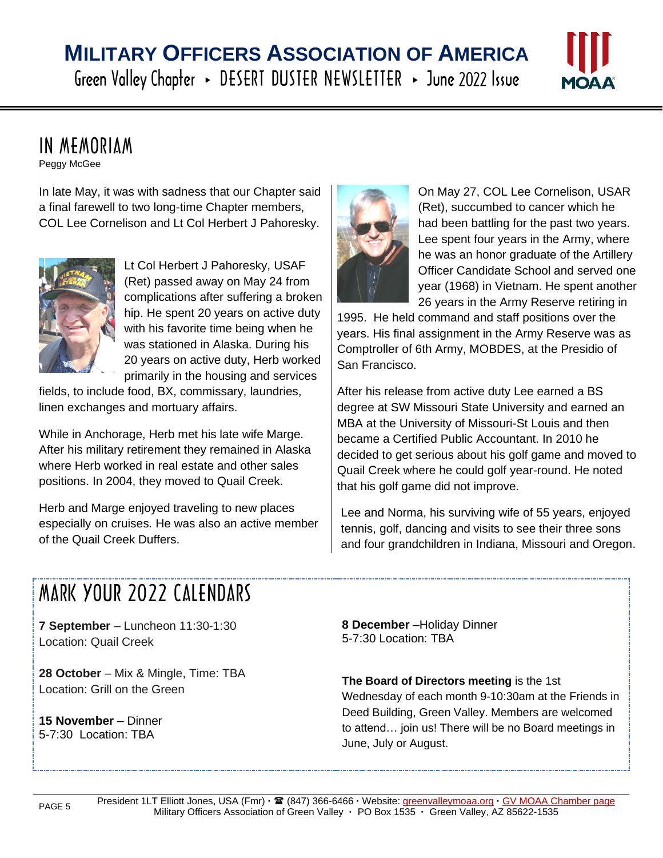# **MILITARY OFFICERS ASSOCIATION OF AMERICA**

Green Valley Chapter > DESERT DUSTER NEWSLETTER > June 2022 Issue



### IN MEMORIAM

Peggy McGee

l

In late May, it was with sadness that our Chapter said a final farewell to two long-time Chapter members, COL Lee Cornelison and Lt Col Herbert J Pahoresky.



Lt Col Herbert J Pahoresky, USAF (Ret) passed away on May 24 from complications after suffering a broken hip. He spent 20 years on active duty with his favorite time being when he was stationed in Alaska. During his 20 years on active duty, Herb worked primarily in the housing and services

fields, to include food, BX, commissary, laundries, linen exchanges and mortuary affairs.

While in Anchorage, Herb met his late wife Marge. After his military retirement they remained in Alaska where Herb worked in real estate and other sales positions. In 2004, they moved to Quail Creek.

Herb and Marge enjoyed traveling to new places especially on cruises. He was also an active member of the Quail Creek Duffers.



On May 27, COL Lee Cornelison, USAR (Ret), succumbed to cancer which he had been battling for the past two years. Lee spent four years in the Army, where he was an honor graduate of the Artillery Officer Candidate School and served one year (1968) in Vietnam. He spent another 26 years in the Army Reserve retiring in

1995. He held command and staff positions over the years. His final assignment in the Army Reserve was as Comptroller of 6th Army, MOBDES, at the Presidio of San Francisco.

After his release from active duty Lee earned a BS degree at SW Missouri State University and earned an MBA at the University of Missouri-St Louis and then became a Certified Public Accountant. In 2010 he decided to get serious about his golf game and moved to Quail Creek where he could golf year-round. He noted that his golf game did not improve.

Lee and Norma, his surviving wife of 55 years, enjoyed tennis, golf, dancing and visits to see their three sons and four grandchildren in Indiana, Missouri and Oregon.

# **MARK YOUR 2022 CALENDARS**

**7 September** – Luncheon 11:30-1:30 Location: Quail Creek

**28 October** – Mix & Mingle, Time: TBA Location: Grill on the Green

**15 November** – Dinner 5-7:30 Location: TBA

**8 December** –Holiday Dinner 5-7:30 Location: TBA

**The Board of Directors meeting** is the 1st Wednesday of each month 9-10:30am at the Friends in Deed Building, Green Valley. Members are welcomed to attend… join us! There will be no Board meetings in June, July or August.

PAGE 5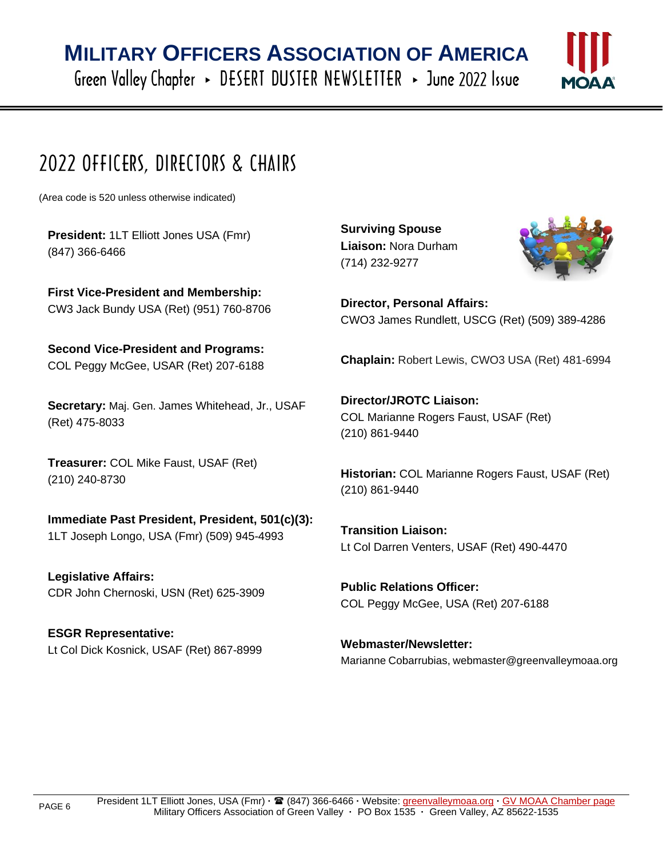Green Valley Chapter > DESERT DUSTER NEWSLETTER > June 2022 Issue



# 2022 OFFICERS, DIRECTORS & CHAIRS

(Area code is 520 unless otherwise indicated)

l

**President:** 1LT Elliott Jones USA (Fmr) (847) 366-6466

**First Vice-President and Membership:** CW3 Jack Bundy USA (Ret) (951) 760-8706

**Second Vice-President and Programs:** COL Peggy McGee, USAR (Ret) 207-6188

**Secretary:** Maj. Gen. James Whitehead, Jr., USAF (Ret) 475-8033

**Treasurer:** COL Mike Faust, USAF (Ret) (210) 240-8730

#### **Immediate Past President, President, 501(c)(3):** 1LT Joseph Longo, USA (Fmr) (509) 945-4993

**Legislative Affairs:** CDR John Chernoski, USN (Ret) 625-3909

**ESGR Representative:** Lt Col Dick Kosnick, USAF (Ret) 867-8999 **Surviving Spouse Liaison:** Nora Durham (714) 232-9277



**Director, Personal Affairs:** CWO3 James Rundlett, USCG (Ret) (509) 389-4286

**Chaplain:** Robert Lewis, CWO3 USA (Ret) 481-6994

**Director/JROTC Liaison:** COL Marianne Rogers Faust, USAF (Ret) (210) 861-9440

**Historian:** COL Marianne Rogers Faust, USAF (Ret) (210) 861-9440

**Transition Liaison:** Lt Col Darren Venters, USAF (Ret) 490-4470

**Public Relations Officer:** COL Peggy McGee, USA (Ret) 207-6188

**Webmaster/Newsletter:** Marianne Cobarrubias, webmaster@greenvalleymoaa.org